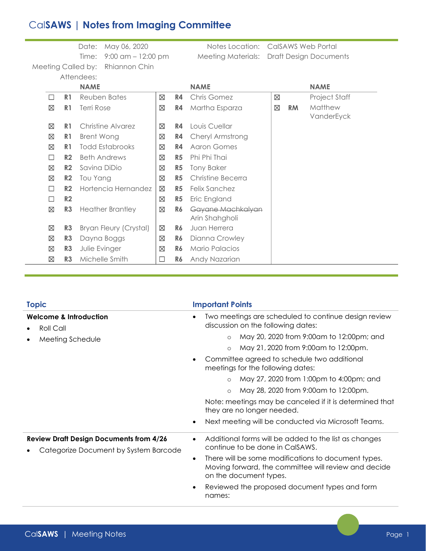## Cal**SAWS | Notes from Imaging Committee**

Meeting Called by: Rhiannon Chin

Date: May 06, 2020 Notes Location: CalSAWS Web Portal Time: 9:00 am – 12:00 pm Meeting Materials: Draft Design Documents

|        | Attendees:     |                            |             |                |                                     |             |           |                       |  |
|--------|----------------|----------------------------|-------------|----------------|-------------------------------------|-------------|-----------|-----------------------|--|
|        |                | <b>NAME</b><br><b>NAME</b> |             |                |                                     | <b>NAME</b> |           |                       |  |
| П      | R1             | Reuben Bates               | ⊠           | R4             | <b>Chris Gomez</b>                  | ⊠           |           | <b>Project Staff</b>  |  |
| ⊠      | R <sub>1</sub> | Terri Rose                 | ⊠           | R4             | Martha Esparza                      | ⊠           | <b>RM</b> | Matthew<br>VanderEyck |  |
| ⊠      | R <sub>1</sub> | Christine Alvarez          | ⊠           | R4             | Louis Cuellar                       |             |           |                       |  |
| ⊠      | R <sub>1</sub> | Brent Wong                 | ⊠           | R4             | Cheryl Armstrong                    |             |           |                       |  |
| ⊠      | R <sub>1</sub> | <b>Todd Estabrooks</b>     | ⊠           | R4             | <b>Aaron Gomes</b>                  |             |           |                       |  |
| □      | R <sub>2</sub> | <b>Beth Andrews</b>        | ⊠           | R <sub>5</sub> | Phi Phi Thai                        |             |           |                       |  |
| ⊠      | R <sub>2</sub> | Savina DiDio               | ⊠           | R <sub>5</sub> | <b>Tony Baker</b>                   |             |           |                       |  |
| ⊠      | R2             | Tou Yang                   | ⊠           | R <sub>5</sub> | Christine Becerra                   |             |           |                       |  |
| □      | R <sub>2</sub> | Hortencia Hernandez        | ⊠           | R <sub>5</sub> | <b>Felix Sanchez</b>                |             |           |                       |  |
| $\Box$ | R2             |                            | ⊠           | R <sub>5</sub> | Eric England                        |             |           |                       |  |
| ⊠      | R <sub>3</sub> | <b>Heather Brantley</b>    | ⊠           | R6             | Gayane Machkalyan<br>Arin Shahgholi |             |           |                       |  |
| ⊠      | R <sub>3</sub> | Bryan Fleury (Crystal)     | ⊠           | R6             | Juan Herrera                        |             |           |                       |  |
| ⊠      | R <sub>3</sub> | Dayna Boggs                | $\boxtimes$ | R6             | Dianna Crowley                      |             |           |                       |  |
| ⊠      | R <sub>3</sub> | Julie Evinger              | ⊠           | R6             | Mario Palacios                      |             |           |                       |  |
| ⊠      | R <sub>3</sub> | Michelle Smith             | $\Box$      | R6             | Andy Nazarian                       |             |           |                       |  |

| <b>Topic</b>                                                                            | <b>Important Points</b>                                                                                                                            |  |  |  |
|-----------------------------------------------------------------------------------------|----------------------------------------------------------------------------------------------------------------------------------------------------|--|--|--|
| <b>Welcome &amp; Introduction</b><br>Roll Call                                          | Two meetings are scheduled to continue design review<br>discussion on the following dates:                                                         |  |  |  |
| Meeting Schedule                                                                        | May 20, 2020 from 9:00am to 12:00pm; and<br>$\circ$                                                                                                |  |  |  |
|                                                                                         | May 21, 2020 from 9:00am to 12:00pm.<br>$\circ$                                                                                                    |  |  |  |
|                                                                                         | Committee agreed to schedule two additional<br>meetings for the following dates:                                                                   |  |  |  |
|                                                                                         | May 27, 2020 from 1:00pm to 4:00pm; and                                                                                                            |  |  |  |
|                                                                                         | May 28, 2020 from 9:00am to 12:00pm.<br>$\circ$                                                                                                    |  |  |  |
|                                                                                         | Note: meetings may be canceled if it is determined that<br>they are no longer needed.                                                              |  |  |  |
|                                                                                         | Next meeting will be conducted via Microsoft Teams.<br>٠                                                                                           |  |  |  |
| <b>Review Draft Design Documents from 4/26</b><br>Categorize Document by System Barcode | Additional forms will be added to the list as changes<br>٠<br>continue to be done in CalSAWS.                                                      |  |  |  |
|                                                                                         | There will be some modifications to document types.<br>$\bullet$<br>Moving forward, the committee will review and decide<br>on the document types. |  |  |  |
|                                                                                         | Reviewed the proposed document types and form<br>names:                                                                                            |  |  |  |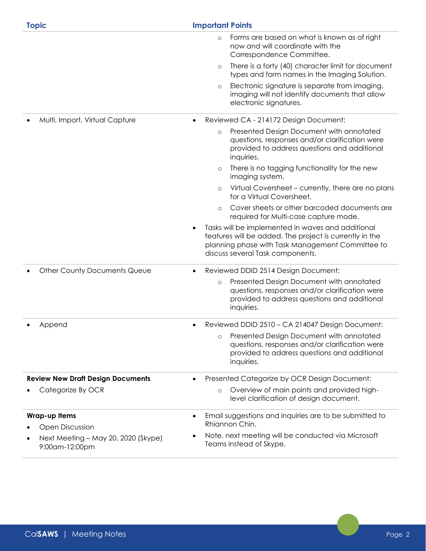| <b>Topic</b>                                          | <b>Important Points</b>                                                                                                                                                                              |  |  |  |  |
|-------------------------------------------------------|------------------------------------------------------------------------------------------------------------------------------------------------------------------------------------------------------|--|--|--|--|
|                                                       | Forms are based on what is known as of right<br>$\circ$<br>now and will coordinate with the<br>Correspondence Committee.                                                                             |  |  |  |  |
|                                                       | There is a forty (40) character limit for document<br>$\circ$<br>types and form names in the Imaging Solution.                                                                                       |  |  |  |  |
|                                                       | Electronic signature is separate from imaging,<br>$\circ$<br>imaging will not identify documents that allow<br>electronic signatures.                                                                |  |  |  |  |
| Multi, Import, Virtual Capture                        | Reviewed CA - 214172 Design Document:<br>$\bullet$                                                                                                                                                   |  |  |  |  |
|                                                       | Presented Design Document with annotated<br>$\circ$<br>questions, responses and/or clarification were<br>provided to address questions and additional<br>inquiries.                                  |  |  |  |  |
|                                                       | There is no tagging functionality for the new<br>$\circ$<br>imaging system.                                                                                                                          |  |  |  |  |
|                                                       | Virtual Coversheet - currently, there are no plans<br>$\circ$<br>for a Virtual Coversheet.                                                                                                           |  |  |  |  |
|                                                       | Cover sheets or other barcoded documents are<br>$\circ$<br>required for Multi-case capture mode.                                                                                                     |  |  |  |  |
|                                                       | Tasks will be implemented in waves and additional<br>features will be added. The project is currently in the<br>planning phase with Task Management Committee to<br>discuss several Task components. |  |  |  |  |
| <b>Other County Documents Queue</b>                   | Reviewed DDID 2514 Design Document:<br>$\bullet$                                                                                                                                                     |  |  |  |  |
|                                                       | Presented Design Document with annotated<br>$\circ$<br>questions, responses and/or clarification were<br>provided to address questions and additional<br>inquiries.                                  |  |  |  |  |
| Append                                                | Reviewed DDID 2510 - CA 214047 Design Document:<br>$\bullet$                                                                                                                                         |  |  |  |  |
|                                                       | Presented Design Document with annotated<br>$\circ$<br>questions, responses and/or clarification were<br>provided to address questions and additional<br>inquiries.                                  |  |  |  |  |
| <b>Review New Draft Design Documents</b>              | Presented Categorize by OCR Design Document:                                                                                                                                                         |  |  |  |  |
| Categorize By OCR                                     | Overview of main points and provided high-<br>$\circ$<br>level clarification of design document.                                                                                                     |  |  |  |  |
| <b>Wrap-up Items</b>                                  | Email suggestions and inquiries are to be submitted to<br>$\bullet$                                                                                                                                  |  |  |  |  |
| <b>Open Discussion</b>                                | Rhiannon Chin.<br>Note, next meeting will be conducted via Microsoft                                                                                                                                 |  |  |  |  |
| Next Meeting - May 20, 2020 (Skype)<br>9:00am-12:00pm | Teams instead of Skype.                                                                                                                                                                              |  |  |  |  |